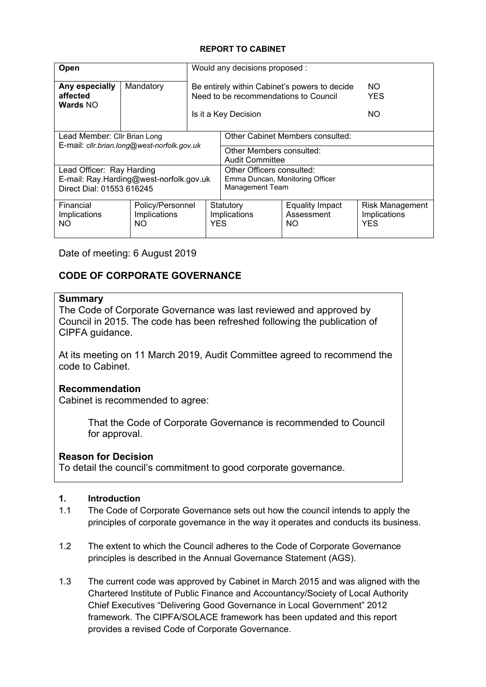#### **REPORT TO CABINET**

| Open                                                                              |                                         | Would any decisions proposed :                                                                                 |                                                                                 |                                                      |                          |
|-----------------------------------------------------------------------------------|-----------------------------------------|----------------------------------------------------------------------------------------------------------------|---------------------------------------------------------------------------------|------------------------------------------------------|--------------------------|
| Any especially<br>affected<br><b>Wards NO</b>                                     | Mandatory                               | Be entirely within Cabinet's powers to decide<br>Need to be recommendations to Council<br>Is it a Key Decision |                                                                                 |                                                      | NO.<br><b>YES</b><br>NO. |
|                                                                                   |                                         |                                                                                                                |                                                                                 |                                                      |                          |
| Lead Member: Cllr Brian Long                                                      |                                         |                                                                                                                | Other Cabinet Members consulted:                                                |                                                      |                          |
| E-mail: cllr.brian.long@west-norfolk.gov.uk                                       |                                         |                                                                                                                | Other Members consulted:<br><b>Audit Committee</b>                              |                                                      |                          |
| Lead Officer: Ray Harding<br>Direct Dial: 01553 616245                            | E-mail: Ray.Harding@west-norfolk.gov.uk |                                                                                                                | Other Officers consulted:<br>Emma Duncan, Monitoring Officer<br>Management Team |                                                      |                          |
| Financial<br>Policy/Personnel<br>Implications<br>Implications<br>NO.<br><b>NO</b> |                                         | <b>Equality Impact</b><br>Statutory<br>Assessment<br>Implications<br><b>YES</b><br>NO.                         |                                                                                 | <b>Risk Management</b><br>Implications<br><b>YES</b> |                          |

Date of meeting: 6 August 2019

# **CODE OF CORPORATE GOVERNANCE**

# **Summary**

The Code of Corporate Governance was last reviewed and approved by Council in 2015. The code has been refreshed following the publication of CIPFA guidance.

At its meeting on 11 March 2019, Audit Committee agreed to recommend the code to Cabinet.

# **Recommendation**

Cabinet is recommended to agree:

That the Code of Corporate Governance is recommended to Council for approval.

# **Reason for Decision**

To detail the council's commitment to good corporate governance.

#### **1. Introduction**

- 1.1 The Code of Corporate Governance sets out how the council intends to apply the principles of corporate governance in the way it operates and conducts its business.
- 1.2 The extent to which the Council adheres to the Code of Corporate Governance principles is described in the Annual Governance Statement (AGS).
- 1.3 The current code was approved by Cabinet in March 2015 and was aligned with the Chartered Institute of Public Finance and Accountancy/Society of Local Authority Chief Executives "Delivering Good Governance in Local Government" 2012 framework. The CIPFA/SOLACE framework has been updated and this report provides a revised Code of Corporate Governance.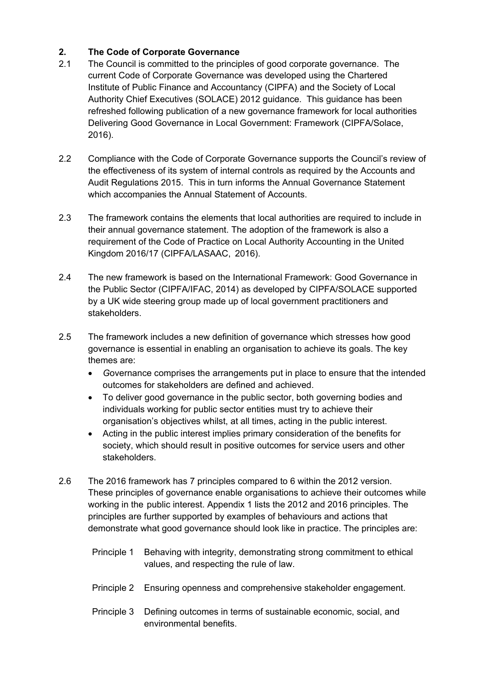# **2. The Code of Corporate Governance**

- 2.1 The Council is committed to the principles of good corporate governance. The current Code of Corporate Governance was developed using the Chartered Institute of Public Finance and Accountancy (CIPFA) and the Society of Local Authority Chief Executives (SOLACE) 2012 guidance. This guidance has been refreshed following publication of a new governance framework for local authorities Delivering Good Governance in Local Government: Framework (CIPFA/Solace, 2016).
- 2.2 Compliance with the Code of Corporate Governance supports the Council's review of the effectiveness of its system of internal controls as required by the Accounts and Audit Regulations 2015. This in turn informs the Annual Governance Statement which accompanies the Annual Statement of Accounts.
- 2.3 The framework contains the elements that local authorities are required to include in their annual governance statement. The adoption of the framework is also a requirement of the Code of Practice on Local Authority Accounting in the United Kingdom 2016/17 (CIPFA/LASAAC, 2016).
- 2.4 The new framework is based on the International Framework: Good Governance in the Public Sector (CIPFA/IFAC, 2014) as developed by CIPFA/SOLACE supported by a UK wide steering group made up of local government practitioners and stakeholders.
- 2.5 The framework includes a new definition of governance which stresses how good governance is essential in enabling an organisation to achieve its goals. The key themes are:
	- *G*overnance comprises the arrangements put in place to ensure that the intended outcomes for stakeholders are defined and achieved.
	- To deliver good governance in the public sector, both governing bodies and individuals working for public sector entities must try to achieve their organisation's objectives whilst, at all times, acting in the public interest.
	- Acting in the public interest implies primary consideration of the benefits for society, which should result in positive outcomes for service users and other stakeholders.
- 2.6 The 2016 framework has 7 principles compared to 6 within the 2012 version. These principles of governance enable organisations to achieve their outcomes while working in the public interest. Appendix 1 lists the 2012 and 2016 principles. The principles are further supported by examples of behaviours and actions that demonstrate what good governance should look like in practice. The principles are:
	- Principle 1 Behaving with integrity, demonstrating strong commitment to ethical values, and respecting the rule of law.
	- Principle 2 Ensuring openness and comprehensive stakeholder engagement.
	- Principle 3 Defining outcomes in terms of sustainable economic, social, and environmental benefits.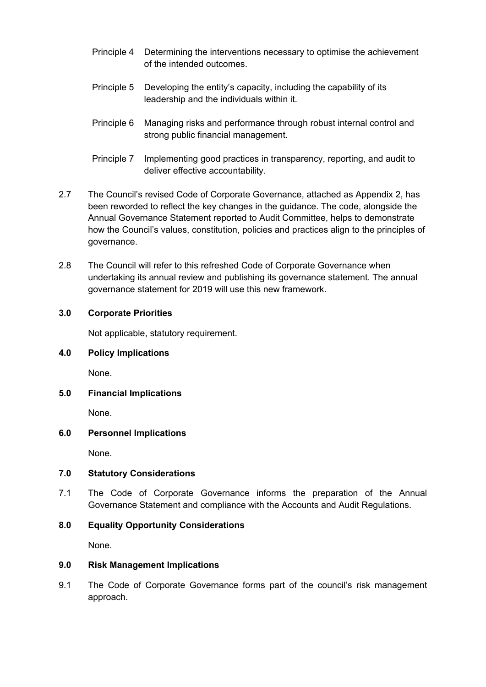- Principle 4 Determining the interventions necessary to optimise the achievement of the intended outcomes.
- Principle 5 Developing the entity's capacity, including the capability of its leadership and the individuals within it.
- Principle 6 Managing risks and performance through robust internal control and strong public financial management.
- Principle 7 Implementing good practices in transparency, reporting, and audit to deliver effective accountability.
- 2.7 The Council's revised Code of Corporate Governance, attached as Appendix 2, has been reworded to reflect the key changes in the guidance. The code, alongside the Annual Governance Statement reported to Audit Committee, helps to demonstrate how the Council's values, constitution, policies and practices align to the principles of governance.
- 2.8 The Council will refer to this refreshed Code of Corporate Governance when undertaking its annual review and publishing its governance statement. The annual governance statement for 2019 will use this new framework.

#### **3.0 Corporate Priorities**

Not applicable, statutory requirement.

#### **4.0 Policy Implications**

None.

**5.0 Financial Implications**

None.

#### **6.0 Personnel Implications**

None.

#### **7.0 Statutory Considerations**

7.1 The Code of Corporate Governance informs the preparation of the Annual Governance Statement and compliance with the Accounts and Audit Regulations.

#### **8.0 Equality Opportunity Considerations**

None.

#### **9.0 Risk Management Implications**

9.1 The Code of Corporate Governance forms part of the council's risk management approach.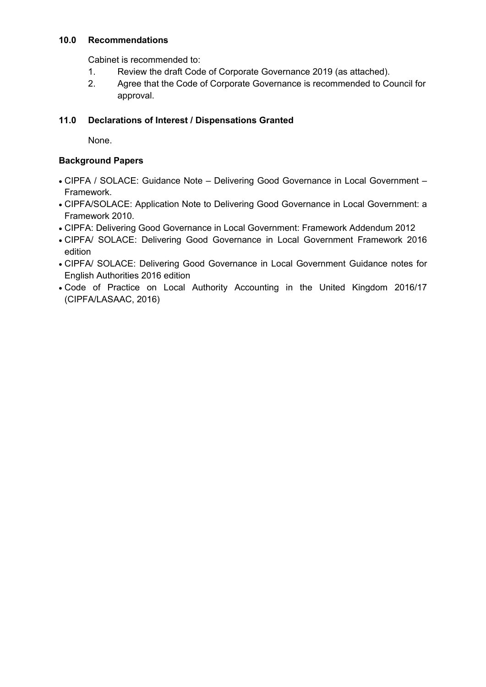#### **10.0 Recommendations**

Cabinet is recommended to:

- 1. Review the draft Code of Corporate Governance 2019 (as attached).
- 2. Agree that the Code of Corporate Governance is recommended to Council for approval.

### **11.0 Declarations of Interest / Dispensations Granted**

None.

### **Background Papers**

- CIPFA / SOLACE: Guidance Note Delivering Good Governance in Local Government Framework.
- CIPFA/SOLACE: Application Note to Delivering Good Governance in Local Government: a Framework 2010.
- CIPFA: Delivering Good Governance in Local Government: Framework Addendum 2012
- CIPFA/ SOLACE: Delivering Good Governance in Local Government Framework 2016 edition
- CIPFA/ SOLACE: Delivering Good Governance in Local Government Guidance notes for English Authorities 2016 edition
- Code of Practice on Local Authority Accounting in the United Kingdom 2016/17 (CIPFA/LASAAC, 2016)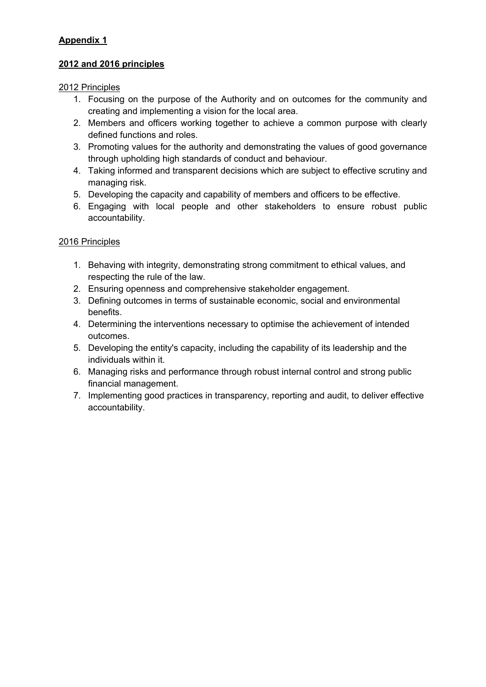# **Appendix 1**

# **2012 and 2016 principles**

### 2012 Principles

- 1. Focusing on the purpose of the Authority and on outcomes for the community and creating and implementing a vision for the local area.
- 2. Members and officers working together to achieve a common purpose with clearly defined functions and roles.
- 3. Promoting values for the authority and demonstrating the values of good governance through upholding high standards of conduct and behaviour.
- 4. Taking informed and transparent decisions which are subject to effective scrutiny and managing risk.
- 5. Developing the capacity and capability of members and officers to be effective.
- 6. Engaging with local people and other stakeholders to ensure robust public accountability.

# 2016 Principles

- 1. Behaving with integrity, demonstrating strong commitment to ethical values, and respecting the rule of the law.
- 2. Ensuring openness and comprehensive stakeholder engagement.
- 3. Defining outcomes in terms of sustainable economic, social and environmental benefits.
- 4. Determining the interventions necessary to optimise the achievement of intended outcomes.
- 5. Developing the entity's capacity, including the capability of its leadership and the individuals within it.
- 6. Managing risks and performance through robust internal control and strong public financial management.
- 7. Implementing good practices in transparency, reporting and audit, to deliver effective accountability.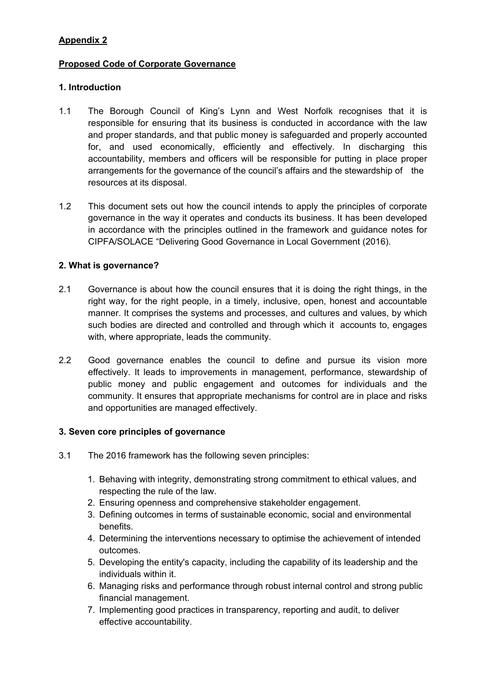# **Appendix 2**

# **Proposed Code of Corporate Governance**

# **1. Introduction**

- 1.1 The Borough Council of King's Lynn and West Norfolk recognises that it is responsible for ensuring that its business is conducted in accordance with the law and proper standards, and that public money is safeguarded and properly accounted for, and used economically, efficiently and effectively. In discharging this accountability, members and officers will be responsible for putting in place proper arrangements for the governance of the council's affairs and the stewardship of the resources at its disposal.
- 1.2 This document sets out how the council intends to apply the principles of corporate governance in the way it operates and conducts its business. It has been developed in accordance with the principles outlined in the framework and guidance notes for CIPFA/SOLACE "Delivering Good Governance in Local Government (2016).

# **2. What is governance?**

- 2.1 Governance is about how the council ensures that it is doing the right things, in the right way, for the right people, in a timely, inclusive, open, honest and accountable manner. It comprises the systems and processes, and cultures and values, by which such bodies are directed and controlled and through which it accounts to, engages with, where appropriate, leads the community.
- 2.2 Good governance enables the council to define and pursue its vision more effectively. It leads to improvements in management, performance, stewardship of public money and public engagement and outcomes for individuals and the community. It ensures that appropriate mechanisms for control are in place and risks and opportunities are managed effectively.

# **3. Seven core principles of governance**

- 3.1 The 2016 framework has the following seven principles:
	- 1. Behaving with integrity, demonstrating strong commitment to ethical values, and respecting the rule of the law.
	- 2. Ensuring openness and comprehensive stakeholder engagement.
	- 3. Defining outcomes in terms of sustainable economic, social and environmental benefits.
	- 4. Determining the interventions necessary to optimise the achievement of intended outcomes.
	- 5. Developing the entity's capacity, including the capability of its leadership and the individuals within it.
	- 6. Managing risks and performance through robust internal control and strong public financial management.
	- 7. Implementing good practices in transparency, reporting and audit, to deliver effective accountability.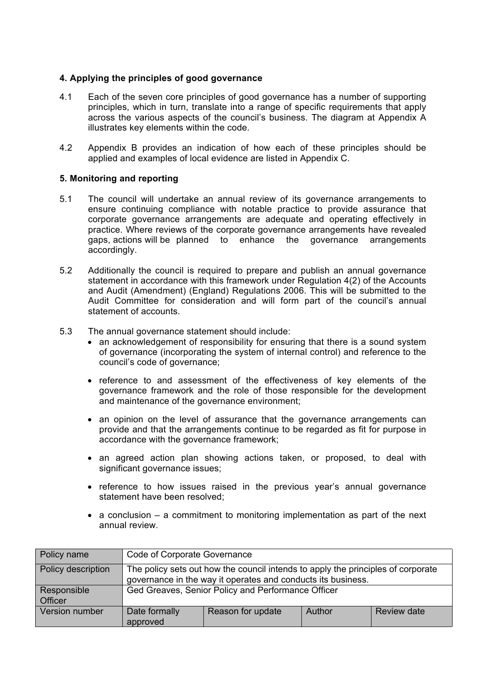#### **4. Applying the principles of good governance**

- 4.1 Each of the seven core principles of good governance has a number of supporting principles, which in turn, translate into a range of specific requirements that apply across the various aspects of the council's business. The diagram at Appendix A illustrates key elements within the code.
- 4.2 Appendix B provides an indication of how each of these principles should be applied and examples of local evidence are listed in Appendix C.

#### **5. Monitoring and reporting**

- 5.1 The council will undertake an annual review of its governance arrangements to ensure continuing compliance with notable practice to provide assurance that corporate governance arrangements are adequate and operating effectively in practice. Where reviews of the corporate governance arrangements have revealed gaps, actions will be planned to enhance the governance arrangements accordingly.
- 5.2 Additionally the council is required to prepare and publish an annual governance statement in accordance with this framework under Regulation 4(2) of the Accounts and Audit (Amendment) (England) Regulations 2006. This will be submitted to the Audit Committee for consideration and will form part of the council's annual statement of accounts.
- 5.3 The annual governance statement should include:
	- an acknowledgement of responsibility for ensuring that there is a sound system of governance (incorporating the system of internal control) and reference to the council's code of governance;
	- reference to and assessment of the effectiveness of key elements of the governance framework and the role of those responsible for the development and maintenance of the governance environment;
	- an opinion on the level of assurance that the governance arrangements can provide and that the arrangements continue to be regarded as fit for purpose in accordance with the governance framework;
	- an agreed action plan showing actions taken, or proposed, to deal with significant governance issues;
	- reference to how issues raised in the previous year's annual governance statement have been resolved;
	- $\bullet$  a conclusion a commitment to monitoring implementation as part of the next annual review.

| Policy name            | Code of Corporate Governance                                                                                                                     |                   |        |             |  |  |
|------------------------|--------------------------------------------------------------------------------------------------------------------------------------------------|-------------------|--------|-------------|--|--|
| Policy description     | The policy sets out how the council intends to apply the principles of corporate<br>governance in the way it operates and conducts its business. |                   |        |             |  |  |
| Responsible<br>Officer | Ged Greaves, Senior Policy and Performance Officer                                                                                               |                   |        |             |  |  |
| Version number         | Date formally<br>approved                                                                                                                        | Reason for update | Author | Review date |  |  |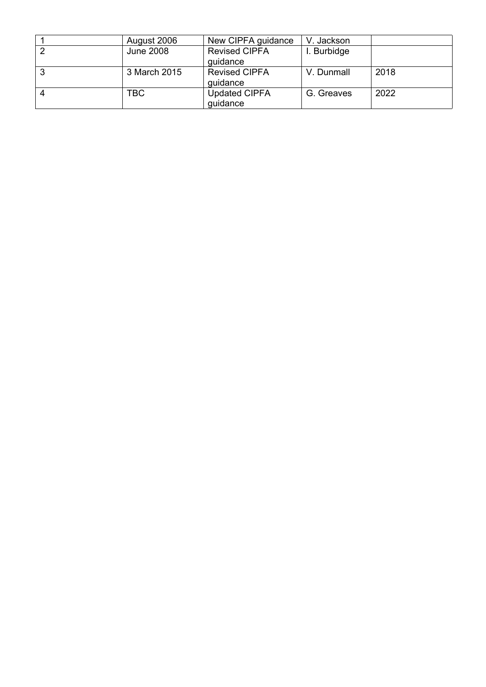|   | August 2006  | New CIPFA guidance               | V. Jackson  |      |
|---|--------------|----------------------------------|-------------|------|
|   | June 2008    | <b>Revised CIPFA</b><br>guidance | I. Burbidge |      |
| J | 3 March 2015 | <b>Revised CIPFA</b><br>guidance | V. Dunmall  | 2018 |
|   | TBC          | <b>Updated CIPFA</b><br>guidance | G. Greaves  | 2022 |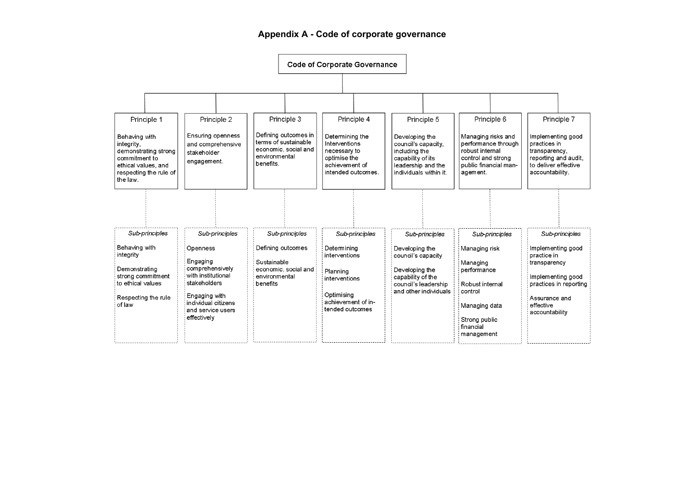#### **Appendix A - Code of corporate governance**

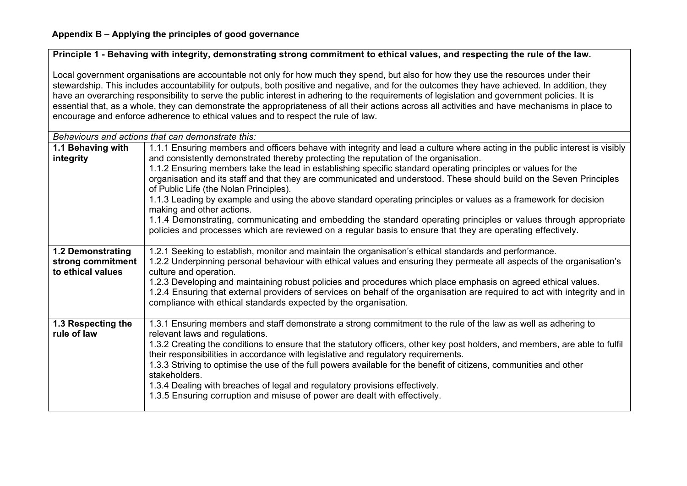# Principle 1 - Behaving with integrity, demonstrating strong commitment to ethical values, and respecting the rule of the law.

Local government organisations are accountable not only for how much they spend, but also for how they use the resources under their stewardship. This includes accountability for outputs, both positive and negative, and for the outcomes they have achieved. In addition, they have an overarching responsibility to serve the public interest in adhering to the requirements of legislation and government policies. It is essential that, as a whole, they can demonstrate the appropriateness of all their actions across all activities and have mechanisms in place to encourage and enforce adherence to ethical values and to respect the rule of law.

| Behaviours and actions that can demonstrate this:                                                                                                                                                                  |                                                                                                                                                                                                                                 |  |  |  |  |
|--------------------------------------------------------------------------------------------------------------------------------------------------------------------------------------------------------------------|---------------------------------------------------------------------------------------------------------------------------------------------------------------------------------------------------------------------------------|--|--|--|--|
| 1.1 Behaving with                                                                                                                                                                                                  | 1.1.1 Ensuring members and officers behave with integrity and lead a culture where acting in the public interest is visibly                                                                                                     |  |  |  |  |
| integrity                                                                                                                                                                                                          | and consistently demonstrated thereby protecting the reputation of the organisation.                                                                                                                                            |  |  |  |  |
|                                                                                                                                                                                                                    | 1.1.2 Ensuring members take the lead in establishing specific standard operating principles or values for the                                                                                                                   |  |  |  |  |
|                                                                                                                                                                                                                    | organisation and its staff and that they are communicated and understood. These should build on the Seven Principles                                                                                                            |  |  |  |  |
|                                                                                                                                                                                                                    | of Public Life (the Nolan Principles).                                                                                                                                                                                          |  |  |  |  |
|                                                                                                                                                                                                                    | 1.1.3 Leading by example and using the above standard operating principles or values as a framework for decision                                                                                                                |  |  |  |  |
|                                                                                                                                                                                                                    | making and other actions.                                                                                                                                                                                                       |  |  |  |  |
|                                                                                                                                                                                                                    | 1.1.4 Demonstrating, communicating and embedding the standard operating principles or values through appropriate<br>policies and processes which are reviewed on a regular basis to ensure that they are operating effectively. |  |  |  |  |
|                                                                                                                                                                                                                    |                                                                                                                                                                                                                                 |  |  |  |  |
| <b>1.2 Demonstrating</b>                                                                                                                                                                                           | 1.2.1 Seeking to establish, monitor and maintain the organisation's ethical standards and performance.                                                                                                                          |  |  |  |  |
| strong commitment                                                                                                                                                                                                  | 1.2.2 Underpinning personal behaviour with ethical values and ensuring they permeate all aspects of the organisation's                                                                                                          |  |  |  |  |
| to ethical values                                                                                                                                                                                                  | culture and operation.                                                                                                                                                                                                          |  |  |  |  |
|                                                                                                                                                                                                                    | 1.2.3 Developing and maintaining robust policies and procedures which place emphasis on agreed ethical values.                                                                                                                  |  |  |  |  |
|                                                                                                                                                                                                                    | 1.2.4 Ensuring that external providers of services on behalf of the organisation are required to act with integrity and in                                                                                                      |  |  |  |  |
|                                                                                                                                                                                                                    | compliance with ethical standards expected by the organisation.                                                                                                                                                                 |  |  |  |  |
|                                                                                                                                                                                                                    |                                                                                                                                                                                                                                 |  |  |  |  |
| 1.3 Respecting the<br>rule of law                                                                                                                                                                                  | 1.3.1 Ensuring members and staff demonstrate a strong commitment to the rule of the law as well as adhering to<br>relevant laws and regulations.                                                                                |  |  |  |  |
|                                                                                                                                                                                                                    |                                                                                                                                                                                                                                 |  |  |  |  |
| 1.3.2 Creating the conditions to ensure that the statutory officers, other key post holders, and members, are able to fulfil<br>their responsibilities in accordance with legislative and regulatory requirements. |                                                                                                                                                                                                                                 |  |  |  |  |
|                                                                                                                                                                                                                    | 1.3.3 Striving to optimise the use of the full powers available for the benefit of citizens, communities and other                                                                                                              |  |  |  |  |
|                                                                                                                                                                                                                    | stakeholders.                                                                                                                                                                                                                   |  |  |  |  |
|                                                                                                                                                                                                                    | 1.3.4 Dealing with breaches of legal and regulatory provisions effectively.                                                                                                                                                     |  |  |  |  |
|                                                                                                                                                                                                                    | 1.3.5 Ensuring corruption and misuse of power are dealt with effectively.                                                                                                                                                       |  |  |  |  |
|                                                                                                                                                                                                                    |                                                                                                                                                                                                                                 |  |  |  |  |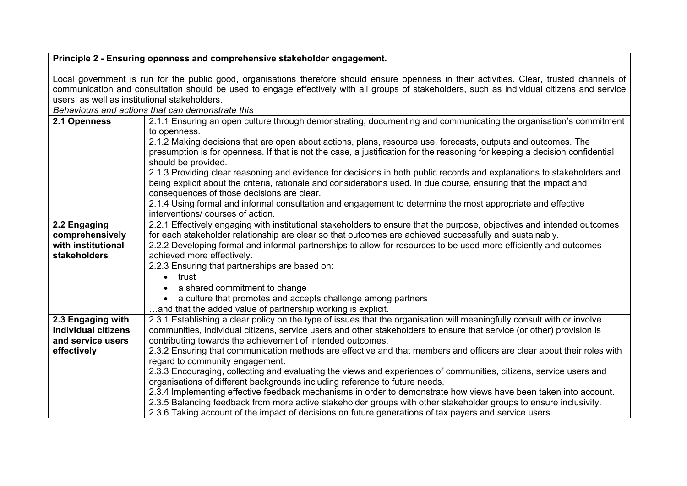| Principle 2 - Ensuring openness and comprehensive stakeholder engagement.                                                                                                                                                                                                                                                                    |                                                                                                                                                                                                                                                                                                                                                                                       |  |  |  |  |
|----------------------------------------------------------------------------------------------------------------------------------------------------------------------------------------------------------------------------------------------------------------------------------------------------------------------------------------------|---------------------------------------------------------------------------------------------------------------------------------------------------------------------------------------------------------------------------------------------------------------------------------------------------------------------------------------------------------------------------------------|--|--|--|--|
| Local government is run for the public good, organisations therefore should ensure openness in their activities. Clear, trusted channels of<br>communication and consultation should be used to engage effectively with all groups of stakeholders, such as individual citizens and service<br>users, as well as institutional stakeholders. |                                                                                                                                                                                                                                                                                                                                                                                       |  |  |  |  |
|                                                                                                                                                                                                                                                                                                                                              | Behaviours and actions that can demonstrate this                                                                                                                                                                                                                                                                                                                                      |  |  |  |  |
| 2.1 Openness                                                                                                                                                                                                                                                                                                                                 | 2.1.1 Ensuring an open culture through demonstrating, documenting and communicating the organisation's commitment<br>to openness.                                                                                                                                                                                                                                                     |  |  |  |  |
|                                                                                                                                                                                                                                                                                                                                              | 2.1.2 Making decisions that are open about actions, plans, resource use, forecasts, outputs and outcomes. The<br>presumption is for openness. If that is not the case, a justification for the reasoning for keeping a decision confidential<br>should be provided.                                                                                                                   |  |  |  |  |
|                                                                                                                                                                                                                                                                                                                                              | 2.1.3 Providing clear reasoning and evidence for decisions in both public records and explanations to stakeholders and<br>being explicit about the criteria, rationale and considerations used. In due course, ensuring that the impact and<br>consequences of those decisions are clear.                                                                                             |  |  |  |  |
|                                                                                                                                                                                                                                                                                                                                              | 2.1.4 Using formal and informal consultation and engagement to determine the most appropriate and effective<br>interventions/courses of action.                                                                                                                                                                                                                                       |  |  |  |  |
| 2.2 Engaging<br>comprehensively<br>with institutional<br>stakeholders                                                                                                                                                                                                                                                                        | 2.2.1 Effectively engaging with institutional stakeholders to ensure that the purpose, objectives and intended outcomes<br>for each stakeholder relationship are clear so that outcomes are achieved successfully and sustainably.<br>2.2.2 Developing formal and informal partnerships to allow for resources to be used more efficiently and outcomes<br>achieved more effectively. |  |  |  |  |
|                                                                                                                                                                                                                                                                                                                                              | 2.2.3 Ensuring that partnerships are based on:<br>trust<br>$\bullet$                                                                                                                                                                                                                                                                                                                  |  |  |  |  |
|                                                                                                                                                                                                                                                                                                                                              | a shared commitment to change                                                                                                                                                                                                                                                                                                                                                         |  |  |  |  |
|                                                                                                                                                                                                                                                                                                                                              | a culture that promotes and accepts challenge among partners<br>and that the added value of partnership working is explicit.                                                                                                                                                                                                                                                          |  |  |  |  |
| 2.3 Engaging with<br>individual citizens<br>and service users                                                                                                                                                                                                                                                                                | 2.3.1 Establishing a clear policy on the type of issues that the organisation will meaningfully consult with or involve<br>communities, individual citizens, service users and other stakeholders to ensure that service (or other) provision is<br>contributing towards the achievement of intended outcomes.                                                                        |  |  |  |  |
| effectively                                                                                                                                                                                                                                                                                                                                  | 2.3.2 Ensuring that communication methods are effective and that members and officers are clear about their roles with<br>regard to community engagement.                                                                                                                                                                                                                             |  |  |  |  |
|                                                                                                                                                                                                                                                                                                                                              | 2.3.3 Encouraging, collecting and evaluating the views and experiences of communities, citizens, service users and<br>organisations of different backgrounds including reference to future needs.                                                                                                                                                                                     |  |  |  |  |
|                                                                                                                                                                                                                                                                                                                                              | 2.3.4 Implementing effective feedback mechanisms in order to demonstrate how views have been taken into account.<br>2.3.5 Balancing feedback from more active stakeholder groups with other stakeholder groups to ensure inclusivity.<br>2.3.6 Taking account of the impact of decisions on future generations of tax payers and service users.                                       |  |  |  |  |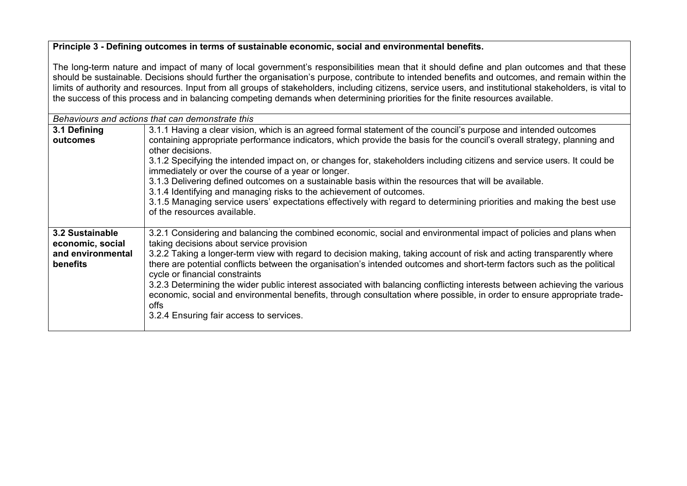#### **Principle 3 - Defining outcomes in terms of sustainable economic, social and environmental benefits.**

The long-term nature and impact of many of local government's responsibilities mean that it should define and plan outcomes and that these should be sustainable. Decisions should further the organisation's purpose, contribute to intended benefits and outcomes, and remain within the limits of authority and resources. Input from all groups of stakeholders, including citizens, service users, and institutional stakeholders, is vital to the success of this process and in balancing competing demands when determining priorities for the finite resources available.

|                                                                                                                                     | Behaviours and actions that can demonstrate this                                                                          |  |  |  |  |  |  |
|-------------------------------------------------------------------------------------------------------------------------------------|---------------------------------------------------------------------------------------------------------------------------|--|--|--|--|--|--|
| 3.1 Defining                                                                                                                        | 3.1.1 Having a clear vision, which is an agreed formal statement of the council's purpose and intended outcomes           |  |  |  |  |  |  |
| outcomes                                                                                                                            | containing appropriate performance indicators, which provide the basis for the council's overall strategy, planning and   |  |  |  |  |  |  |
| other decisions.                                                                                                                    |                                                                                                                           |  |  |  |  |  |  |
|                                                                                                                                     | 3.1.2 Specifying the intended impact on, or changes for, stakeholders including citizens and service users. It could be   |  |  |  |  |  |  |
|                                                                                                                                     | immediately or over the course of a year or longer.                                                                       |  |  |  |  |  |  |
|                                                                                                                                     | 3.1.3 Delivering defined outcomes on a sustainable basis within the resources that will be available.                     |  |  |  |  |  |  |
|                                                                                                                                     | 3.1.4 Identifying and managing risks to the achievement of outcomes.                                                      |  |  |  |  |  |  |
|                                                                                                                                     | 3.1.5 Managing service users' expectations effectively with regard to determining priorities and making the best use      |  |  |  |  |  |  |
|                                                                                                                                     | of the resources available.                                                                                               |  |  |  |  |  |  |
|                                                                                                                                     |                                                                                                                           |  |  |  |  |  |  |
| 3.2 Sustainable                                                                                                                     | 3.2.1 Considering and balancing the combined economic, social and environmental impact of policies and plans when         |  |  |  |  |  |  |
| economic, social                                                                                                                    | taking decisions about service provision                                                                                  |  |  |  |  |  |  |
| and environmental                                                                                                                   | 3.2.2 Taking a longer-term view with regard to decision making, taking account of risk and acting transparently where     |  |  |  |  |  |  |
| there are potential conflicts between the organisation's intended outcomes and short-term factors such as the political<br>benefits |                                                                                                                           |  |  |  |  |  |  |
|                                                                                                                                     | cycle or financial constraints                                                                                            |  |  |  |  |  |  |
|                                                                                                                                     | 3.2.3 Determining the wider public interest associated with balancing conflicting interests between achieving the various |  |  |  |  |  |  |
|                                                                                                                                     | economic, social and environmental benefits, through consultation where possible, in order to ensure appropriate trade-   |  |  |  |  |  |  |
|                                                                                                                                     | offs                                                                                                                      |  |  |  |  |  |  |
|                                                                                                                                     | 3.2.4 Ensuring fair access to services.                                                                                   |  |  |  |  |  |  |
|                                                                                                                                     |                                                                                                                           |  |  |  |  |  |  |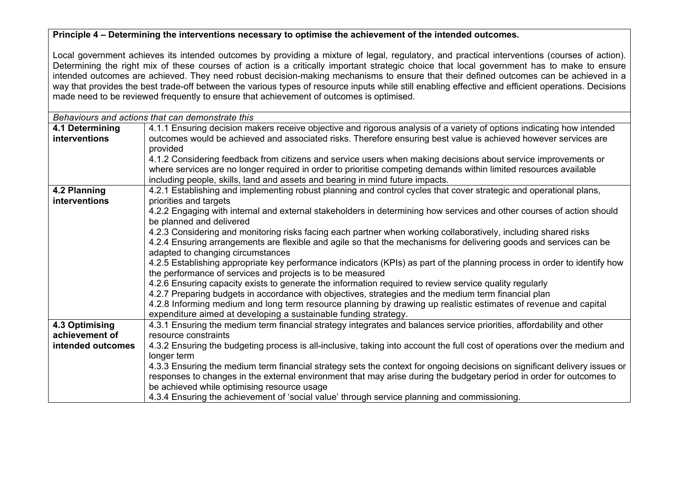### **Principle 4 – Determining the interventions necessary to optimise the achievement of the intended outcomes.**

Local government achieves its intended outcomes by providing a mixture of legal, regulatory, and practical interventions (courses of action). Determining the right mix of these courses of action is a critically important strategic choice that local government has to make to ensure intended outcomes are achieved. They need robust decision-making mechanisms to ensure that their defined outcomes can be achieved in a way that provides the best trade-off between the various types of resource inputs while still enabling effective and efficient operations. Decisions made need to be reviewed frequently to ensure that achievement of outcomes is optimised.

| Behaviours and actions that can demonstrate this |                                                                                                                            |  |  |  |  |
|--------------------------------------------------|----------------------------------------------------------------------------------------------------------------------------|--|--|--|--|
| 4.1 Determining                                  | 4.1.1 Ensuring decision makers receive objective and rigorous analysis of a variety of options indicating how intended     |  |  |  |  |
| interventions                                    | outcomes would be achieved and associated risks. Therefore ensuring best value is achieved however services are            |  |  |  |  |
|                                                  | provided                                                                                                                   |  |  |  |  |
|                                                  | 4.1.2 Considering feedback from citizens and service users when making decisions about service improvements or             |  |  |  |  |
|                                                  | where services are no longer required in order to prioritise competing demands within limited resources available          |  |  |  |  |
|                                                  | including people, skills, land and assets and bearing in mind future impacts.                                              |  |  |  |  |
| 4.2 Planning                                     | 4.2.1 Establishing and implementing robust planning and control cycles that cover strategic and operational plans,         |  |  |  |  |
| interventions                                    | priorities and targets                                                                                                     |  |  |  |  |
|                                                  | 4.2.2 Engaging with internal and external stakeholders in determining how services and other courses of action should      |  |  |  |  |
|                                                  | be planned and delivered                                                                                                   |  |  |  |  |
|                                                  | 4.2.3 Considering and monitoring risks facing each partner when working collaboratively, including shared risks            |  |  |  |  |
|                                                  | 4.2.4 Ensuring arrangements are flexible and agile so that the mechanisms for delivering goods and services can be         |  |  |  |  |
|                                                  | adapted to changing circumstances                                                                                          |  |  |  |  |
|                                                  | 4.2.5 Establishing appropriate key performance indicators (KPIs) as part of the planning process in order to identify how  |  |  |  |  |
|                                                  | the performance of services and projects is to be measured                                                                 |  |  |  |  |
|                                                  | 4.2.6 Ensuring capacity exists to generate the information required to review service quality regularly                    |  |  |  |  |
|                                                  | 4.2.7 Preparing budgets in accordance with objectives, strategies and the medium term financial plan                       |  |  |  |  |
|                                                  | 4.2.8 Informing medium and long term resource planning by drawing up realistic estimates of revenue and capital            |  |  |  |  |
|                                                  | expenditure aimed at developing a sustainable funding strategy.                                                            |  |  |  |  |
| 4.3 Optimising                                   | 4.3.1 Ensuring the medium term financial strategy integrates and balances service priorities, affordability and other      |  |  |  |  |
| achievement of                                   | resource constraints                                                                                                       |  |  |  |  |
| intended outcomes                                | 4.3.2 Ensuring the budgeting process is all-inclusive, taking into account the full cost of operations over the medium and |  |  |  |  |
|                                                  | longer term                                                                                                                |  |  |  |  |
|                                                  | 4.3.3 Ensuring the medium term financial strategy sets the context for ongoing decisions on significant delivery issues or |  |  |  |  |
|                                                  | responses to changes in the external environment that may arise during the budgetary period in order for outcomes to       |  |  |  |  |
|                                                  | be achieved while optimising resource usage                                                                                |  |  |  |  |
|                                                  | 4.3.4 Ensuring the achievement of 'social value' through service planning and commissioning.                               |  |  |  |  |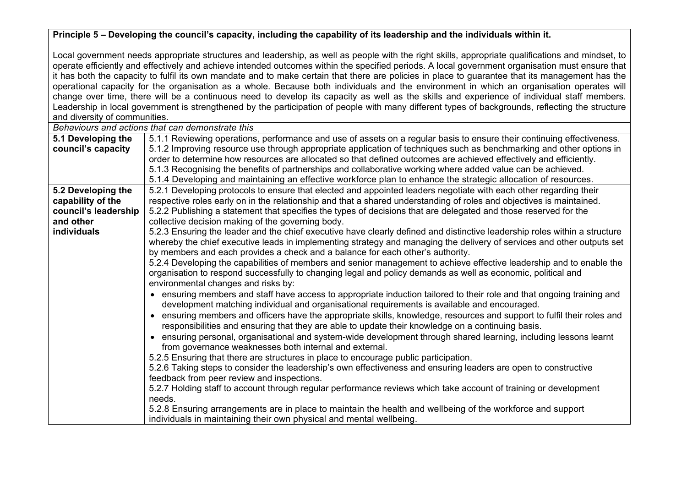Principle 5 – Developing the council's capacity, including the capability of its leadership and the individuals within it.

Local government needs appropriate structures and leadership, as well as people with the right skills, appropriate qualifications and mindset, to operate efficiently and effectively and achieve intended outcomes within the specified periods. A local government organisation must ensure that it has both the capacity to fulfil its own mandate and to make certain that there are policies in place to guarantee that its management has the operational capacity for the organisation as a whole. Because both individuals and the environment in which an organisation operates will change over time, there will be a continuous need to develop its capacity as well as the skills and experience of individual staff members. Leadership in local government is strengthened by the participation of people with many different types of backgrounds, reflecting the structure and diversity of communities.

*Behaviours and actions that can demonstrate this*

| 5.1 Developing the   | 5.1.1 Reviewing operations, performance and use of assets on a regular basis to ensure their continuing effectiveness.                                                                                                       |
|----------------------|------------------------------------------------------------------------------------------------------------------------------------------------------------------------------------------------------------------------------|
| council's capacity   | 5.1.2 Improving resource use through appropriate application of techniques such as benchmarking and other options in                                                                                                         |
|                      | order to determine how resources are allocated so that defined outcomes are achieved effectively and efficiently.                                                                                                            |
|                      | 5.1.3 Recognising the benefits of partnerships and collaborative working where added value can be achieved.                                                                                                                  |
|                      | 5.1.4 Developing and maintaining an effective workforce plan to enhance the strategic allocation of resources.                                                                                                               |
| 5.2 Developing the   | 5.2.1 Developing protocols to ensure that elected and appointed leaders negotiate with each other regarding their                                                                                                            |
| capability of the    | respective roles early on in the relationship and that a shared understanding of roles and objectives is maintained.                                                                                                         |
| council's leadership | 5.2.2 Publishing a statement that specifies the types of decisions that are delegated and those reserved for the                                                                                                             |
| and other            | collective decision making of the governing body.                                                                                                                                                                            |
| <b>individuals</b>   | 5.2.3 Ensuring the leader and the chief executive have clearly defined and distinctive leadership roles within a structure                                                                                                   |
|                      | whereby the chief executive leads in implementing strategy and managing the delivery of services and other outputs set                                                                                                       |
|                      | by members and each provides a check and a balance for each other's authority.                                                                                                                                               |
|                      | 5.2.4 Developing the capabilities of members and senior management to achieve effective leadership and to enable the                                                                                                         |
|                      | organisation to respond successfully to changing legal and policy demands as well as economic, political and                                                                                                                 |
|                      | environmental changes and risks by:                                                                                                                                                                                          |
|                      | • ensuring members and staff have access to appropriate induction tailored to their role and that ongoing training and                                                                                                       |
|                      | development matching individual and organisational requirements is available and encouraged.                                                                                                                                 |
|                      | • ensuring members and officers have the appropriate skills, knowledge, resources and support to fulfil their roles and<br>responsibilities and ensuring that they are able to update their knowledge on a continuing basis. |
|                      | • ensuring personal, organisational and system-wide development through shared learning, including lessons learnt                                                                                                            |
|                      | from governance weaknesses both internal and external.                                                                                                                                                                       |
|                      | 5.2.5 Ensuring that there are structures in place to encourage public participation.                                                                                                                                         |
|                      | 5.2.6 Taking steps to consider the leadership's own effectiveness and ensuring leaders are open to constructive                                                                                                              |
|                      | feedback from peer review and inspections.                                                                                                                                                                                   |
|                      | 5.2.7 Holding staff to account through regular performance reviews which take account of training or development                                                                                                             |
|                      | needs.                                                                                                                                                                                                                       |
|                      | 5.2.8 Ensuring arrangements are in place to maintain the health and wellbeing of the workforce and support                                                                                                                   |
|                      | individuals in maintaining their own physical and mental wellbeing.                                                                                                                                                          |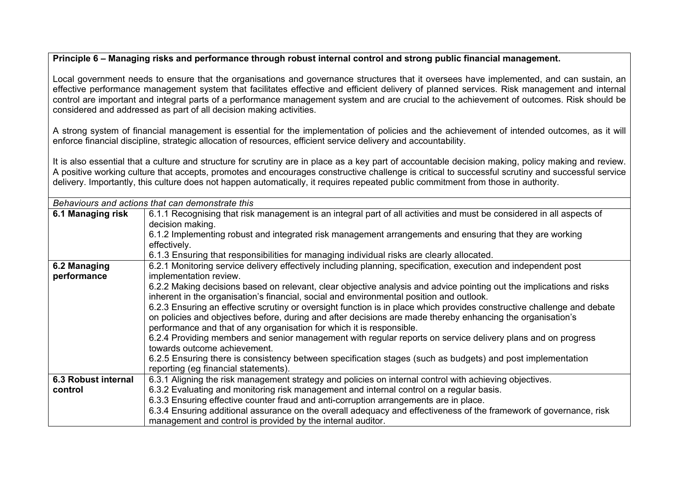#### Principle 6 – Managing risks and performance through robust internal control and strong public financial management.

Local government needs to ensure that the organisations and governance structures that it oversees have implemented, and can sustain, an effective performance management system that facilitates effective and efficient delivery of planned services. Risk management and internal control are important and integral parts of a performance management system and are crucial to the achievement of outcomes. Risk should be considered and addressed as part of all decision making activities.

A strong system of financial management is essential for the implementation of policies and the achievement of intended outcomes, as it will enforce financial discipline, strategic allocation of resources, efficient service delivery and accountability.

It is also essential that a culture and structure for scrutiny are in place as a key part of accountable decision making, policy making and review. A positive working culture that accepts, promotes and encourages constructive challenge is critical to successful scrutiny and successful service delivery. Importantly, this culture does not happen automatically, it requires repeated public commitment from those in authority.

|                     | Behaviours and actions that can demonstrate this                                                                        |  |  |  |  |  |  |
|---------------------|-------------------------------------------------------------------------------------------------------------------------|--|--|--|--|--|--|
| 6.1 Managing risk   | 6.1.1 Recognising that risk management is an integral part of all activities and must be considered in all aspects of   |  |  |  |  |  |  |
|                     | decision making.                                                                                                        |  |  |  |  |  |  |
|                     | 6.1.2 Implementing robust and integrated risk management arrangements and ensuring that they are working                |  |  |  |  |  |  |
|                     | effectively.                                                                                                            |  |  |  |  |  |  |
|                     | 6.1.3 Ensuring that responsibilities for managing individual risks are clearly allocated.                               |  |  |  |  |  |  |
| 6.2 Managing        | 6.2.1 Monitoring service delivery effectively including planning, specification, execution and independent post         |  |  |  |  |  |  |
| performance         | implementation review.                                                                                                  |  |  |  |  |  |  |
|                     | 6.2.2 Making decisions based on relevant, clear objective analysis and advice pointing out the implications and risks   |  |  |  |  |  |  |
|                     | inherent in the organisation's financial, social and environmental position and outlook.                                |  |  |  |  |  |  |
|                     | 6.2.3 Ensuring an effective scrutiny or oversight function is in place which provides constructive challenge and debate |  |  |  |  |  |  |
|                     | on policies and objectives before, during and after decisions are made thereby enhancing the organisation's             |  |  |  |  |  |  |
|                     | performance and that of any organisation for which it is responsible.                                                   |  |  |  |  |  |  |
|                     | 6.2.4 Providing members and senior management with regular reports on service delivery plans and on progress            |  |  |  |  |  |  |
|                     | towards outcome achievement.                                                                                            |  |  |  |  |  |  |
|                     | 6.2.5 Ensuring there is consistency between specification stages (such as budgets) and post implementation              |  |  |  |  |  |  |
|                     | reporting (eg financial statements).                                                                                    |  |  |  |  |  |  |
| 6.3 Robust internal | 6.3.1 Aligning the risk management strategy and policies on internal control with achieving objectives.                 |  |  |  |  |  |  |
| control             | 6.3.2 Evaluating and monitoring risk management and internal control on a regular basis.                                |  |  |  |  |  |  |
|                     | 6.3.3 Ensuring effective counter fraud and anti-corruption arrangements are in place.                                   |  |  |  |  |  |  |
|                     | 6.3.4 Ensuring additional assurance on the overall adequacy and effectiveness of the framework of governance, risk      |  |  |  |  |  |  |
|                     | management and control is provided by the internal auditor.                                                             |  |  |  |  |  |  |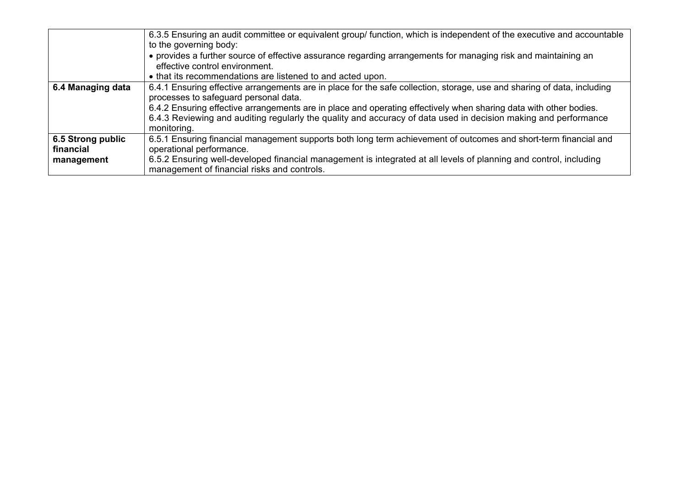|                   | 6.3.5 Ensuring an audit committee or equivalent group/ function, which is independent of the executive and accountable<br>to the governing body:                                                                                                    |
|-------------------|-----------------------------------------------------------------------------------------------------------------------------------------------------------------------------------------------------------------------------------------------------|
|                   | • provides a further source of effective assurance regarding arrangements for managing risk and maintaining an<br>effective control environment.                                                                                                    |
|                   | • that its recommendations are listened to and acted upon.                                                                                                                                                                                          |
| 6.4 Managing data | 6.4.1 Ensuring effective arrangements are in place for the safe collection, storage, use and sharing of data, including<br>processes to safeguard personal data.                                                                                    |
|                   | 6.4.2 Ensuring effective arrangements are in place and operating effectively when sharing data with other bodies.<br>6.4.3 Reviewing and auditing regularly the quality and accuracy of data used in decision making and performance<br>monitoring. |
| 6.5 Strong public | 6.5.1 Ensuring financial management supports both long term achievement of outcomes and short-term financial and                                                                                                                                    |
| financial         | operational performance.                                                                                                                                                                                                                            |
| management        | 6.5.2 Ensuring well-developed financial management is integrated at all levels of planning and control, including<br>management of financial risks and controls.                                                                                    |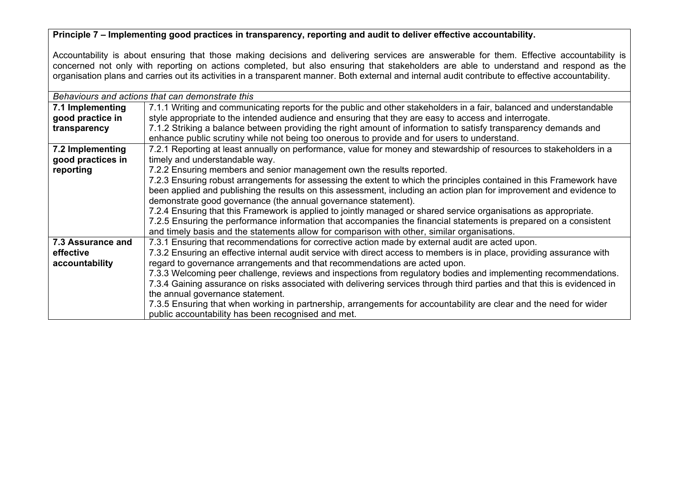# **Principle 7 – Implementing good practices in transparency, reporting and audit to deliver effective accountability.**

Accountability is about ensuring that those making decisions and delivering services are answerable for them. Effective accountability is concerned not only with reporting on actions completed, but also ensuring that stakeholders are able to understand and respond as the organisation plans and carries out its activities in a transparent manner. Both external and internal audit contribute to effective accountability.

|                   | Behaviours and actions that can demonstrate this                                                                         |  |  |  |  |
|-------------------|--------------------------------------------------------------------------------------------------------------------------|--|--|--|--|
| 7.1 Implementing  | 7.1.1 Writing and communicating reports for the public and other stakeholders in a fair, balanced and understandable     |  |  |  |  |
| good practice in  | style appropriate to the intended audience and ensuring that they are easy to access and interrogate.                    |  |  |  |  |
| transparency      | 7.1.2 Striking a balance between providing the right amount of information to satisfy transparency demands and           |  |  |  |  |
|                   | enhance public scrutiny while not being too onerous to provide and for users to understand.                              |  |  |  |  |
| 7.2 Implementing  | 7.2.1 Reporting at least annually on performance, value for money and stewardship of resources to stakeholders in a      |  |  |  |  |
| good practices in | timely and understandable way.                                                                                           |  |  |  |  |
| reporting         | 7.2.2 Ensuring members and senior management own the results reported.                                                   |  |  |  |  |
|                   | 7.2.3 Ensuring robust arrangements for assessing the extent to which the principles contained in this Framework have     |  |  |  |  |
|                   | been applied and publishing the results on this assessment, including an action plan for improvement and evidence to     |  |  |  |  |
|                   | demonstrate good governance (the annual governance statement).                                                           |  |  |  |  |
|                   | 7.2.4 Ensuring that this Framework is applied to jointly managed or shared service organisations as appropriate.         |  |  |  |  |
|                   | 7.2.5 Ensuring the performance information that accompanies the financial statements is prepared on a consistent         |  |  |  |  |
|                   | and timely basis and the statements allow for comparison with other, similar organisations.                              |  |  |  |  |
| 7.3 Assurance and | 7.3.1 Ensuring that recommendations for corrective action made by external audit are acted upon.                         |  |  |  |  |
| effective         | 7.3.2 Ensuring an effective internal audit service with direct access to members is in place, providing assurance with   |  |  |  |  |
| accountability    | regard to governance arrangements and that recommendations are acted upon.                                               |  |  |  |  |
|                   | 7.3.3 Welcoming peer challenge, reviews and inspections from regulatory bodies and implementing recommendations.         |  |  |  |  |
|                   | 7.3.4 Gaining assurance on risks associated with delivering services through third parties and that this is evidenced in |  |  |  |  |
|                   | the annual governance statement.                                                                                         |  |  |  |  |
|                   | 7.3.5 Ensuring that when working in partnership, arrangements for accountability are clear and the need for wider        |  |  |  |  |
|                   | public accountability has been recognised and met.                                                                       |  |  |  |  |